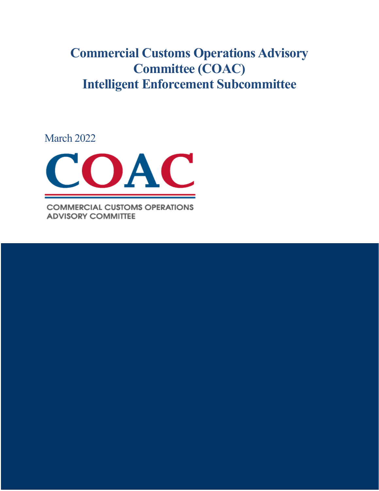**Commercial Customs Operations Advisory Committee (COAC) Intelligent Enforcement Subcommittee**

March 2022



**COMMERCIAL CUSTOMS OPERATIONS ADVISORY COMMITTEE** 

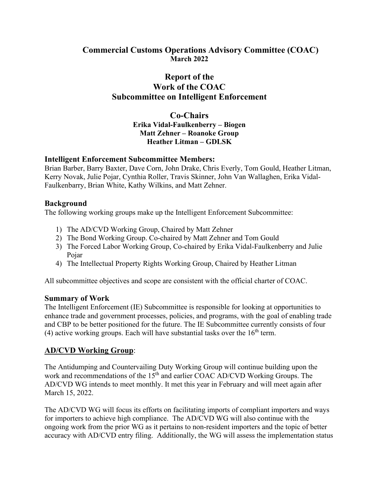### **Commercial Customs Operations Advisory Committee (COAC) March 2022**

# **Report of the Work of the COAC Subcommittee on Intelligent Enforcement**

**Co-Chairs Erika Vidal-Faulkenberry – Biogen Matt Zehner – Roanoke Group Heather Litman – GDLSK**

#### **Intelligent Enforcement Subcommittee Members:**

Brian Barber, Barry Baxter, Dave Corn, John Drake, Chris Everly, Tom Gould, Heather Litman, Kerry Novak, Julie Pojar, Cynthia Roller, Travis Skinner, John Van Wallaghen, Erika Vidal-Faulkenbarry, Brian White, Kathy Wilkins, and Matt Zehner.

#### **Background**

The following working groups make up the Intelligent Enforcement Subcommittee:

- 1) The AD/CVD Working Group, Chaired by Matt Zehner
- 2) The Bond Working Group. Co-chaired by Matt Zehner and Tom Gould
- 3) The Forced Labor Working Group, Co-chaired by Erika Vidal-Faulkenberry and Julie Pojar
- 4) The Intellectual Property Rights Working Group, Chaired by Heather Litman

All subcommittee objectives and scope are consistent with the official charter of COAC.

#### **Summary of Work**

The Intelligent Enforcement (IE) Subcommittee is responsible for looking at opportunities to enhance trade and government processes, policies, and programs, with the goal of enabling trade and CBP to be better positioned for the future. The IE Subcommittee currently consists of four (4) active working groups. Each will have substantial tasks over the  $16<sup>th</sup>$  term.

### **AD/CVD Working Group**:

The Antidumping and Countervailing Duty Working Group will continue building upon the work and recommendations of the 15<sup>th</sup> and earlier COAC AD/CVD Working Groups. The AD/CVD WG intends to meet monthly. It met this year in February and will meet again after March 15, 2022.

The AD/CVD WG will focus its efforts on facilitating imports of compliant importers and ways for importers to achieve high compliance. The AD/CVD WG will also continue with the ongoing work from the prior WG as it pertains to non-resident importers and the topic of better accuracy with AD/CVD entry filing. Additionally, the WG will assess the implementation status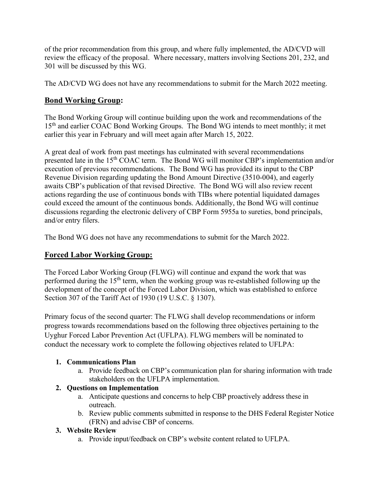of the prior recommendation from this group, and where fully implemented, the AD/CVD will review the efficacy of the proposal. Where necessary, matters involving Sections 201, 232, and 301 will be discussed by this WG.

The AD/CVD WG does not have any recommendations to submit for the March 2022 meeting.

# **Bond Working Group:**

The Bond Working Group will continue building upon the work and recommendations of the 15<sup>th</sup> and earlier COAC Bond Working Groups. The Bond WG intends to meet monthly; it met earlier this year in February and will meet again after March 15, 2022.

A great deal of work from past meetings has culminated with several recommendations presented late in the 15th COAC term. The Bond WG will monitor CBP's implementation and/or execution of previous recommendations. The Bond WG has provided its input to the CBP Revenue Division regarding updating the Bond Amount Directive (3510-004), and eagerly awaits CBP's publication of that revised Directive. The Bond WG will also review recent actions regarding the use of continuous bonds with TIBs where potential liquidated damages could exceed the amount of the continuous bonds. Additionally, the Bond WG will continue discussions regarding the electronic delivery of CBP Form 5955a to sureties, bond principals, and/or entry filers.

The Bond WG does not have any recommendations to submit for the March 2022.

# **Forced Labor Working Group:**

The Forced Labor Working Group (FLWG) will continue and expand the work that was performed during the  $15<sup>th</sup>$  term, when the working group was re-established following up the development of the concept of the Forced Labor Division, which was established to enforce Section 307 of the Tariff Act of 1930 (19 U.S.C. § 1307).

Primary focus of the second quarter: The FLWG shall develop recommendations or inform progress towards recommendations based on the following three objectives pertaining to the Uyghur Forced Labor Prevention Act (UFLPA). FLWG members will be nominated to conduct the necessary work to complete the following objectives related to UFLPA:

### **1. Communications Plan**

a. Provide feedback on CBP's communication plan for sharing information with trade stakeholders on the UFLPA implementation.

### **2. Questions on Implementation**

- a. Anticipate questions and concerns to help CBP proactively address these in outreach.
- b. Review public comments submitted in response to the DHS Federal Register Notice (FRN) and advise CBP of concerns.

### **3. Website Review**

a. Provide input/feedback on CBP's website content related to UFLPA.